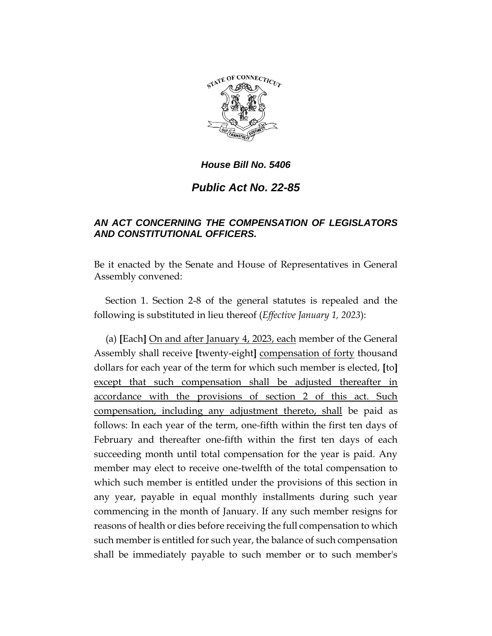

# *Public Act No. 22-85*

# *AN ACT CONCERNING THE COMPENSATION OF LEGISLATORS AND CONSTITUTIONAL OFFICERS.*

Be it enacted by the Senate and House of Representatives in General Assembly convened:

Section 1. Section 2-8 of the general statutes is repealed and the following is substituted in lieu thereof (*Effective January 1, 2023*):

(a) **[**Each**]** On and after January 4, 2023, each member of the General Assembly shall receive **[**twenty-eight**]** compensation of forty thousand dollars for each year of the term for which such member is elected, **[**to**]**  except that such compensation shall be adjusted thereafter in accordance with the provisions of section 2 of this act. Such compensation, including any adjustment thereto, shall be paid as follows: In each year of the term, one-fifth within the first ten days of February and thereafter one-fifth within the first ten days of each succeeding month until total compensation for the year is paid. Any member may elect to receive one-twelfth of the total compensation to which such member is entitled under the provisions of this section in any year, payable in equal monthly installments during such year commencing in the month of January. If any such member resigns for reasons of health or dies before receiving the full compensation to which such member is entitled for such year, the balance of such compensation shall be immediately payable to such member or to such member's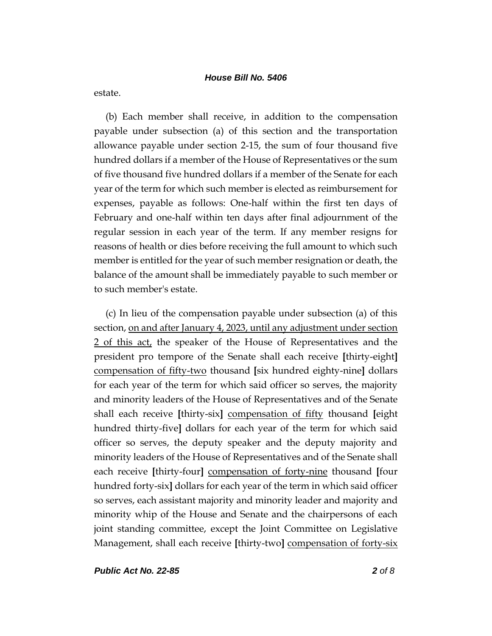estate.

(b) Each member shall receive, in addition to the compensation payable under subsection (a) of this section and the transportation allowance payable under section 2-15, the sum of four thousand five hundred dollars if a member of the House of Representatives or the sum of five thousand five hundred dollars if a member of the Senate for each year of the term for which such member is elected as reimbursement for expenses, payable as follows: One-half within the first ten days of February and one-half within ten days after final adjournment of the regular session in each year of the term. If any member resigns for reasons of health or dies before receiving the full amount to which such member is entitled for the year of such member resignation or death, the balance of the amount shall be immediately payable to such member or to such member's estate.

(c) In lieu of the compensation payable under subsection (a) of this section, on and after January 4, 2023, until any adjustment under section 2 of this act, the speaker of the House of Representatives and the president pro tempore of the Senate shall each receive **[**thirty-eight**]** compensation of fifty-two thousand **[**six hundred eighty-nine**]** dollars for each year of the term for which said officer so serves, the majority and minority leaders of the House of Representatives and of the Senate shall each receive **[**thirty-six**]** compensation of fifty thousand **[**eight hundred thirty-five**]** dollars for each year of the term for which said officer so serves, the deputy speaker and the deputy majority and minority leaders of the House of Representatives and of the Senate shall each receive **[**thirty-four**]** compensation of forty-nine thousand **[**four hundred forty-six**]** dollars for each year of the term in which said officer so serves, each assistant majority and minority leader and majority and minority whip of the House and Senate and the chairpersons of each joint standing committee, except the Joint Committee on Legislative Management, shall each receive **[**thirty-two**]** compensation of forty-six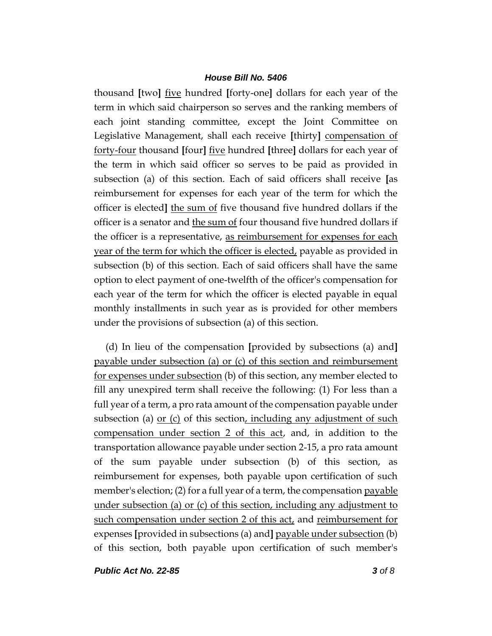thousand **[**two**]** five hundred **[**forty-one**]** dollars for each year of the term in which said chairperson so serves and the ranking members of each joint standing committee, except the Joint Committee on Legislative Management, shall each receive **[**thirty**]** compensation of forty-four thousand **[**four**]** five hundred **[**three**]** dollars for each year of the term in which said officer so serves to be paid as provided in subsection (a) of this section. Each of said officers shall receive **[**as reimbursement for expenses for each year of the term for which the officer is elected**]** the sum of five thousand five hundred dollars if the officer is a senator and the sum of four thousand five hundred dollars if the officer is a representative, as reimbursement for expenses for each year of the term for which the officer is elected, payable as provided in subsection (b) of this section. Each of said officers shall have the same option to elect payment of one-twelfth of the officer's compensation for each year of the term for which the officer is elected payable in equal monthly installments in such year as is provided for other members under the provisions of subsection (a) of this section.

(d) In lieu of the compensation **[**provided by subsections (a) and**]** payable under subsection (a) or (c) of this section and reimbursement for expenses under subsection (b) of this section, any member elected to fill any unexpired term shall receive the following: (1) For less than a full year of a term, a pro rata amount of the compensation payable under subsection (a) <u>or (c)</u> of this section, including any adjustment of such compensation under section 2 of this act, and, in addition to the transportation allowance payable under section 2-15, a pro rata amount of the sum payable under subsection (b) of this section, as reimbursement for expenses, both payable upon certification of such member's election; (2) for a full year of a term, the compensation payable under subsection (a) or (c) of this section, including any adjustment to such compensation under section 2 of this act, and reimbursement for expenses **[**provided in subsections (a) and**]** payable under subsection (b) of this section, both payable upon certification of such member's

*Public Act No. 22-85 3 of 8*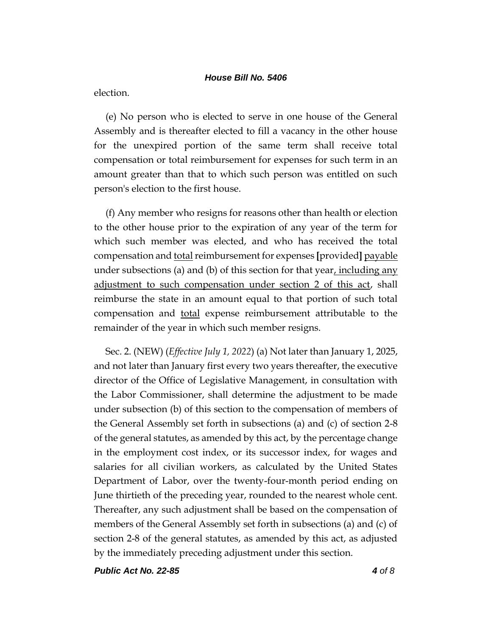election.

(e) No person who is elected to serve in one house of the General Assembly and is thereafter elected to fill a vacancy in the other house for the unexpired portion of the same term shall receive total compensation or total reimbursement for expenses for such term in an amount greater than that to which such person was entitled on such person's election to the first house.

(f) Any member who resigns for reasons other than health or election to the other house prior to the expiration of any year of the term for which such member was elected, and who has received the total compensation and total reimbursement for expenses [provided] payable under subsections (a) and (b) of this section for that year, including any adjustment to such compensation under section 2 of this act, shall reimburse the state in an amount equal to that portion of such total compensation and <u>total</u> expense reimbursement attributable to the remainder of the year in which such member resigns.

Sec. 2. (NEW) (*Effective July 1, 2022*) (a) Not later than January 1, 2025, and not later than January first every two years thereafter, the executive director of the Office of Legislative Management, in consultation with the Labor Commissioner, shall determine the adjustment to be made under subsection (b) of this section to the compensation of members of the General Assembly set forth in subsections (a) and (c) of section 2-8 of the general statutes, as amended by this act, by the percentage change in the employment cost index, or its successor index, for wages and salaries for all civilian workers, as calculated by the United States Department of Labor, over the twenty-four-month period ending on June thirtieth of the preceding year, rounded to the nearest whole cent. Thereafter, any such adjustment shall be based on the compensation of members of the General Assembly set forth in subsections (a) and (c) of section 2-8 of the general statutes, as amended by this act, as adjusted by the immediately preceding adjustment under this section.

*Public Act No. 22-85 4 of 8*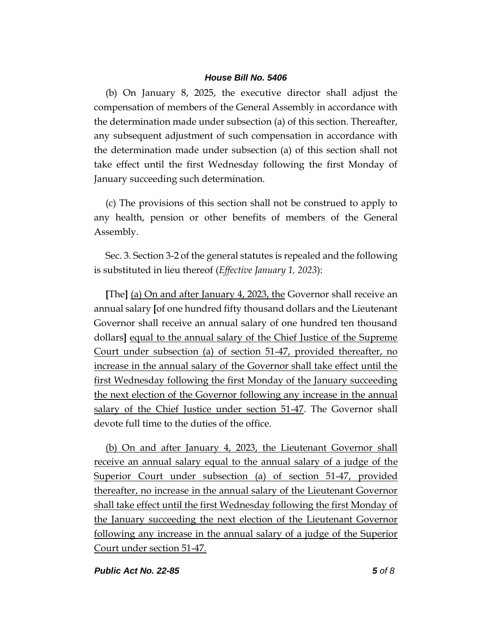(b) On January 8, 2025, the executive director shall adjust the compensation of members of the General Assembly in accordance with the determination made under subsection (a) of this section. Thereafter, any subsequent adjustment of such compensation in accordance with the determination made under subsection (a) of this section shall not take effect until the first Wednesday following the first Monday of January succeeding such determination.

(c) The provisions of this section shall not be construed to apply to any health, pension or other benefits of members of the General Assembly.

Sec. 3. Section 3-2 of the general statutes is repealed and the following is substituted in lieu thereof (*Effective January 1, 2023*):

**[**The**]** (a) On and after January 4, 2023, the Governor shall receive an annual salary **[**of one hundred fifty thousand dollars and the Lieutenant Governor shall receive an annual salary of one hundred ten thousand dollars**]** equal to the annual salary of the Chief Justice of the Supreme Court under subsection (a) of section 51-47, provided thereafter, no increase in the annual salary of the Governor shall take effect until the first Wednesday following the first Monday of the January succeeding the next election of the Governor following any increase in the annual salary of the Chief Justice under section 51-47. The Governor shall devote full time to the duties of the office.

(b) On and after January 4, 2023, the Lieutenant Governor shall receive an annual salary equal to the annual salary of a judge of the Superior Court under subsection (a) of section 51-47, provided thereafter, no increase in the annual salary of the Lieutenant Governor shall take effect until the first Wednesday following the first Monday of the January succeeding the next election of the Lieutenant Governor following any increase in the annual salary of a judge of the Superior Court under section 51-47.

#### *Public Act No. 22-85 5 of 8*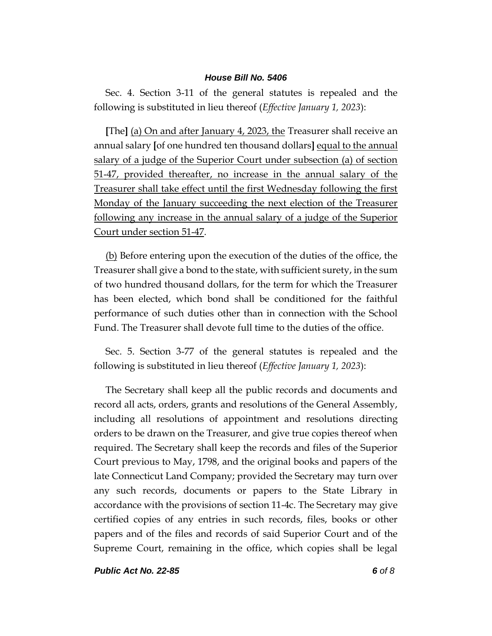Sec. 4. Section 3-11 of the general statutes is repealed and the following is substituted in lieu thereof (*Effective January 1, 2023*):

**[**The**]** (a) On and after January 4, 2023, the Treasurer shall receive an annual salary **[**of one hundred ten thousand dollars**]** equal to the annual salary of a judge of the Superior Court under subsection (a) of section 51-47, provided thereafter, no increase in the annual salary of the Treasurer shall take effect until the first Wednesday following the first Monday of the January succeeding the next election of the Treasurer following any increase in the annual salary of a judge of the Superior Court under section 51-47.

(b) Before entering upon the execution of the duties of the office, the Treasurer shall give a bond to the state, with sufficient surety, in the sum of two hundred thousand dollars, for the term for which the Treasurer has been elected, which bond shall be conditioned for the faithful performance of such duties other than in connection with the School Fund. The Treasurer shall devote full time to the duties of the office.

Sec. 5. Section 3-77 of the general statutes is repealed and the following is substituted in lieu thereof (*Effective January 1, 2023*):

The Secretary shall keep all the public records and documents and record all acts, orders, grants and resolutions of the General Assembly, including all resolutions of appointment and resolutions directing orders to be drawn on the Treasurer, and give true copies thereof when required. The Secretary shall keep the records and files of the Superior Court previous to May, 1798, and the original books and papers of the late Connecticut Land Company; provided the Secretary may turn over any such records, documents or papers to the State Library in accordance with the provisions of section 11-4c. The Secretary may give certified copies of any entries in such records, files, books or other papers and of the files and records of said Superior Court and of the Supreme Court, remaining in the office, which copies shall be legal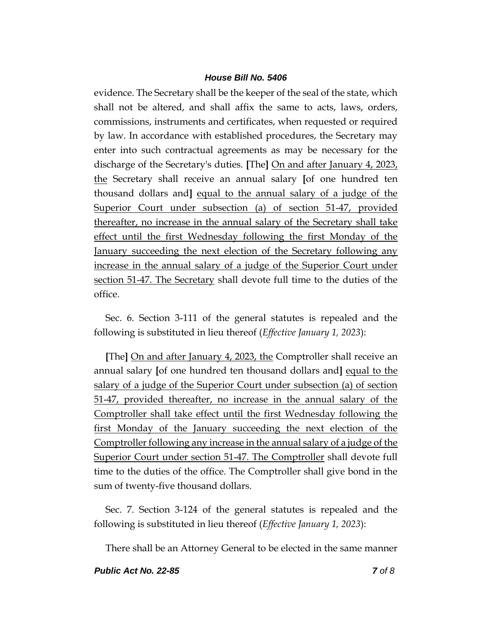evidence. The Secretary shall be the keeper of the seal of the state, which shall not be altered, and shall affix the same to acts, laws, orders, commissions, instruments and certificates, when requested or required by law. In accordance with established procedures, the Secretary may enter into such contractual agreements as may be necessary for the discharge of the Secretary's duties. **[**The**]** On and after January 4, 2023, the Secretary shall receive an annual salary **[**of one hundred ten thousand dollars and**]** equal to the annual salary of a judge of the Superior Court under subsection (a) of section 51-47, provided thereafter, no increase in the annual salary of the Secretary shall take effect until the first Wednesday following the first Monday of the January succeeding the next election of the Secretary following any increase in the annual salary of a judge of the Superior Court under section 51-47. The Secretary shall devote full time to the duties of the office.

Sec. 6. Section 3-111 of the general statutes is repealed and the following is substituted in lieu thereof (*Effective January 1, 2023*):

**[**The**]** On and after January 4, 2023, the Comptroller shall receive an annual salary **[**of one hundred ten thousand dollars and**]** equal to the salary of a judge of the Superior Court under subsection (a) of section 51-47, provided thereafter, no increase in the annual salary of the Comptroller shall take effect until the first Wednesday following the first Monday of the January succeeding the next election of the Comptroller following any increase in the annual salary of a judge of the Superior Court under section 51-47. The Comptroller shall devote full time to the duties of the office. The Comptroller shall give bond in the sum of twenty-five thousand dollars.

Sec. 7. Section 3-124 of the general statutes is repealed and the following is substituted in lieu thereof (*Effective January 1, 2023*):

There shall be an Attorney General to be elected in the same manner